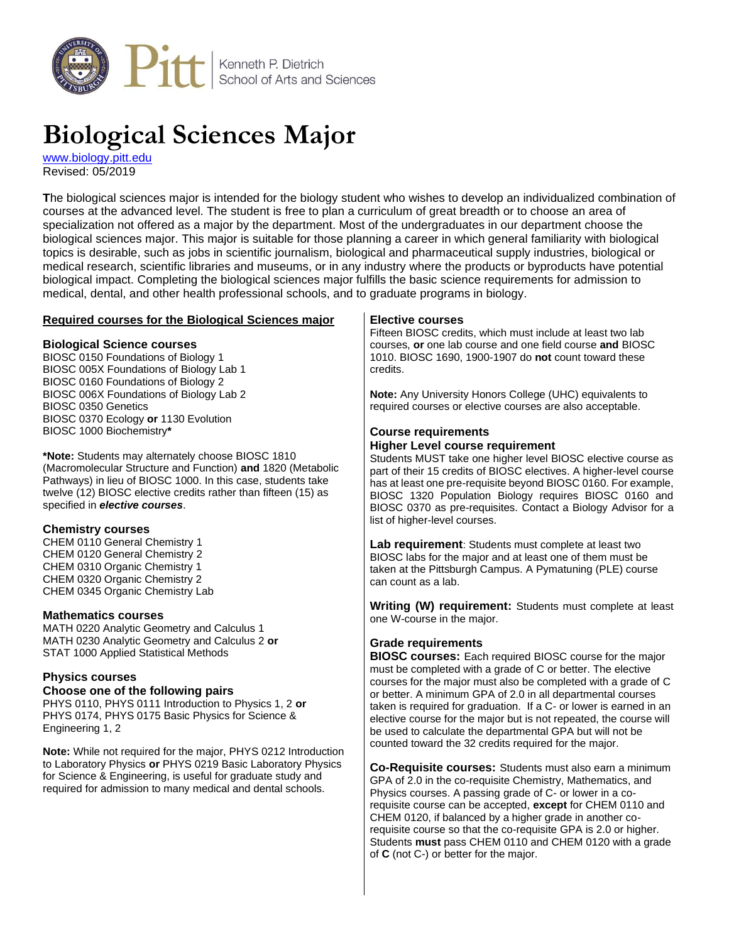

# **Biological Sciences Major**

[www.biology.pitt.edu](http://www.biology.pitt.edu/) Revised: 05/2019

**T**he biological sciences major is intended for the biology student who wishes to develop an individualized combination of courses at the advanced level. The student is free to plan a curriculum of great breadth or to choose an area of specialization not offered as a major by the department. Most of the undergraduates in our department choose the biological sciences major. This major is suitable for those planning a career in which general familiarity with biological topics is desirable, such as jobs in scientific journalism, biological and pharmaceutical supply industries, biological or medical research, scientific libraries and museums, or in any industry where the products or byproducts have potential biological impact. Completing the biological sciences major fulfills the basic science requirements for admission to medical, dental, and other health professional schools, and to graduate programs in biology.

## **Required courses for the Biological Sciences major**

## **Biological Science courses**

BIOSC 0150 Foundations of Biology 1 BIOSC 005X Foundations of Biology Lab 1 BIOSC 0160 Foundations of Biology 2 BIOSC 006X Foundations of Biology Lab 2 BIOSC 0350 Genetics BIOSC 0370 Ecology **or** 1130 Evolution BIOSC 1000 Biochemistry**\***

**\*Note:** Students may alternately choose BIOSC 1810 (Macromolecular Structure and Function) **and** 1820 (Metabolic Pathways) in lieu of BIOSC 1000. In this case, students take twelve (12) BIOSC elective credits rather than fifteen (15) as specified in *elective courses*.

#### **Chemistry courses**

CHEM 0110 General Chemistry 1 CHEM 0120 General Chemistry 2 CHEM 0310 Organic Chemistry 1 CHEM 0320 Organic Chemistry 2 CHEM 0345 Organic Chemistry Lab

#### **Mathematics courses**

MATH 0220 Analytic Geometry and Calculus 1 MATH 0230 Analytic Geometry and Calculus 2 **or** STAT 1000 Applied Statistical Methods

## **Physics courses**

#### **Choose one of the following pairs**

PHYS 0110, PHYS 0111 Introduction to Physics 1, 2 **or** PHYS 0174, PHYS 0175 Basic Physics for Science & Engineering 1, 2

**Note:** While not required for the major, PHYS 0212 Introduction to Laboratory Physics **or** PHYS 0219 Basic Laboratory Physics for Science & Engineering, is useful for graduate study and required for admission to many medical and dental schools.

#### **Elective courses**

Fifteen BIOSC credits, which must include at least two lab courses, **or** one lab course and one field course **and** BIOSC 1010. BIOSC 1690, 1900-1907 do **not** count toward these credits.

**Note:** Any University Honors College (UHC) equivalents to required courses or elective courses are also acceptable.

#### **Course requirements Higher Level course requirement**

Students MUST take one higher level BIOSC elective course as part of their 15 credits of BIOSC electives. A higher-level course has at least one pre-requisite beyond BIOSC 0160. For example, BIOSC 1320 Population Biology requires BIOSC 0160 and BIOSC 0370 as pre-requisites. Contact a Biology Advisor for a list of higher-level courses.

**Lab requirement**: Students must complete at least two BIOSC labs for the major and at least one of them must be taken at the Pittsburgh Campus. A Pymatuning (PLE) course can count as a lab.

**Writing (W) requirement:** Students must complete at least one W-course in the major.

## **Grade requirements**

**BIOSC courses:** Each required BIOSC course for the major must be completed with a grade of C or better. The elective courses for the major must also be completed with a grade of C or better. A minimum GPA of 2.0 in all departmental courses taken is required for graduation. If a C- or lower is earned in an elective course for the major but is not repeated, the course will be used to calculate the departmental GPA but will not be counted toward the 32 credits required for the major.

**Co-Requisite courses:** Students must also earn a minimum GPA of 2.0 in the co-requisite Chemistry, Mathematics, and Physics courses. A passing grade of C- or lower in a corequisite course can be accepted, **except** for CHEM 0110 and CHEM 0120, if balanced by a higher grade in another corequisite course so that the co-requisite GPA is 2.0 or higher. Students **must** pass CHEM 0110 and CHEM 0120 with a grade of **C** (not C-) or better for the major.